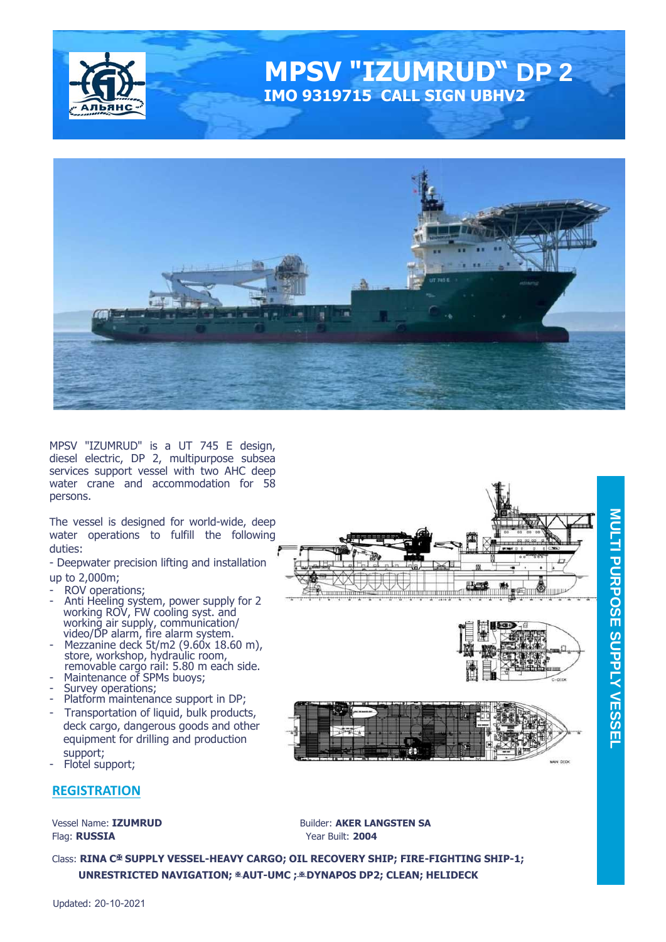

# **MPSV "IZUMRUD" DP 2 IMO 9319715 CALL SIGN UBHV2**



MPSV "IZUMRUD" is a UT 745 E design, diesel electric, DP 2, multipurpose subsea services support vessel with two AHC deep water crane and accommodation for 58 persons.

The vessel is designed for world-wide, deep water operations to fulfill the following duties:

- Deepwater precision lifting and installation

up to 2,000m;

- ROV operations;
- Anti Heeling system, power supply for 2 working ROV, FW cooling syst. and working air supply, communication/ video/DP alarm, fire alarm system.
- Mezzanine deck 5t/m2 (9.60x 18.60 m), store, workshop, hydraulic room, removable cargo rail: 5.80 m each side.
- Maintenance of SPMs buoys;
- Survey operations;
- Platform maintenance support in DP;
- Transportation of liquid, bulk products, deck cargo, dangerous goods and other equipment for drilling and production support;
- Flotel support;

#### **REGISTRATION**

Flag: **RUSSIA** Year Built: **2004**

Vessel Name: **IZUMRUD Builder: AKER LANGSTEN SA** 

Class: **RINA C**✠ **SUPPLY VESSEL-HEAVY CARGO; OIL RECOVERY SHIP; FIRE-FIGHTING SHIP-1; UNRESTRICTED NAVIGATION;** ✠ **AUT-UMC ;** ✠ **DYNAPOS DP2; CLEAN; HELIDECK** 

MAN DECK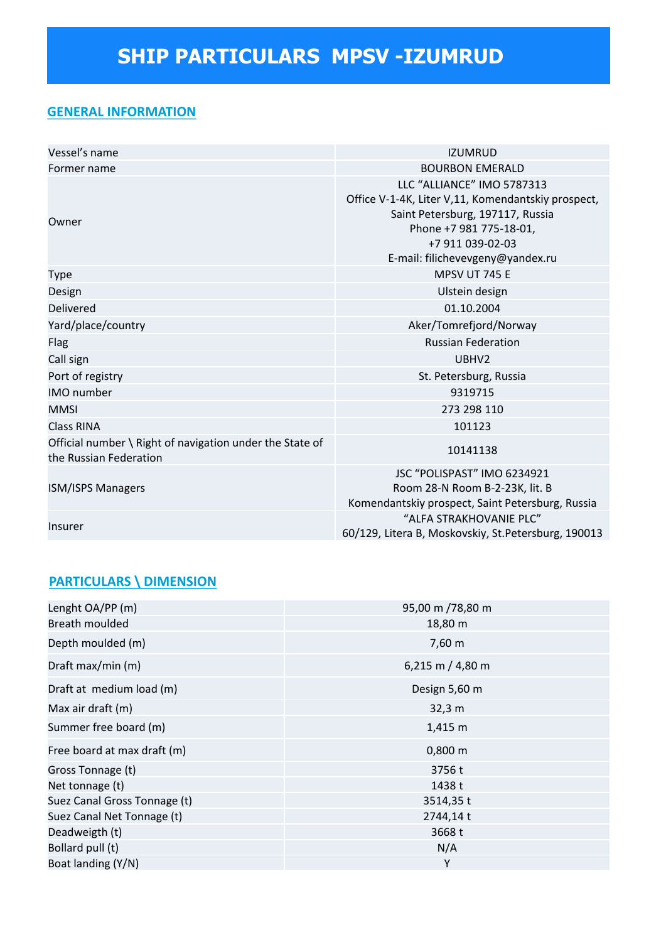### **GENERAL INFORMATION**

| Vessel's name                                                                      | <b>IZUMRUD</b>                                                                                                                                                                                          |
|------------------------------------------------------------------------------------|---------------------------------------------------------------------------------------------------------------------------------------------------------------------------------------------------------|
| Former name                                                                        | <b>BOURBON EMERALD</b>                                                                                                                                                                                  |
| Owner                                                                              | LLC "ALLIANCE" IMO 5787313<br>Office V-1-4K, Liter V,11, Komendantskiy prospect,<br>Saint Petersburg, 197117, Russia<br>Phone +7 981 775-18-01,<br>+7 911 039-02-03<br>E-mail: filichevevgeny@yandex.ru |
| Type                                                                               | MPSV UT 745 E                                                                                                                                                                                           |
| Design                                                                             | Ulstein design                                                                                                                                                                                          |
| Delivered                                                                          | 01.10.2004                                                                                                                                                                                              |
| Yard/place/country                                                                 | Aker/Tomrefjord/Norway                                                                                                                                                                                  |
| <b>Flag</b>                                                                        | <b>Russian Federation</b>                                                                                                                                                                               |
| Call sign                                                                          | UBHV <sub>2</sub>                                                                                                                                                                                       |
| Port of registry                                                                   | St. Petersburg, Russia                                                                                                                                                                                  |
| <b>IMO</b> number                                                                  | 9319715                                                                                                                                                                                                 |
| <b>MMSI</b>                                                                        | 273 298 110                                                                                                                                                                                             |
| <b>Class RINA</b>                                                                  | 101123                                                                                                                                                                                                  |
| Official number \ Right of navigation under the State of<br>the Russian Federation | 10141138                                                                                                                                                                                                |
| <b>ISM/ISPS Managers</b>                                                           | JSC "POLISPAST" IMO 6234921<br>Room 28-N Room B-2-23K, lit. B<br>Komendantskiy prospect, Saint Petersburg, Russia                                                                                       |
| <b>Insurer</b>                                                                     | "ALFA STRAKHOVANIE PLC"<br>60/129, Litera B, Moskovskiy, St. Petersburg, 190013                                                                                                                         |

## **PARTICULARS \ DIMENSION**

| Lenght OA/PP (m)             | 95,00 m /78,80 m |
|------------------------------|------------------|
| Breath moulded               | 18,80 m          |
| Depth moulded (m)            | 7,60 m           |
| Draft max/min (m)            | 6,215 m / 4,80 m |
| Draft at medium load (m)     | Design 5,60 m    |
| Max air draft (m)            | 32,3 m           |
| Summer free board (m)        | 1,415 m          |
| Free board at max draft (m)  | $0,800 \; m$     |
| Gross Tonnage (t)            | 3756t            |
| Net tonnage (t)              | 1438 t           |
| Suez Canal Gross Tonnage (t) | 3514,35 t        |
| Suez Canal Net Tonnage (t)   | 2744,14 t        |
| Deadweigth (t)               | 3668 t           |
| Bollard pull (t)             | N/A              |
| Boat landing (Y/N)           | Υ                |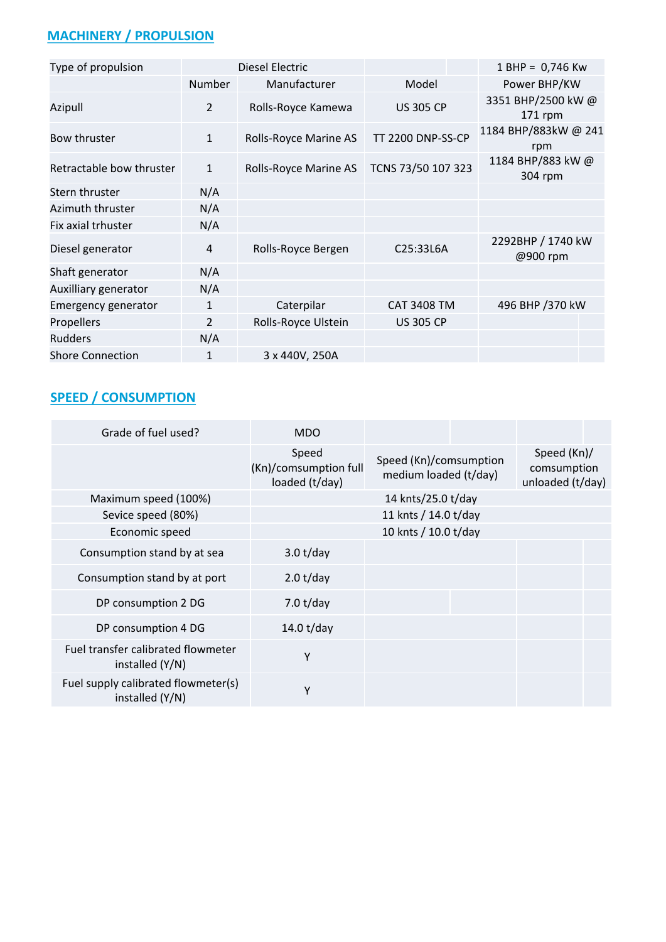## **MACHINERY / PROPULSION**

| Type of propulsion       |                | Diesel Electric       |                          | 1 BHP = 0,746 Kw              |
|--------------------------|----------------|-----------------------|--------------------------|-------------------------------|
|                          | Number         | Manufacturer          | Model                    | Power BHP/KW                  |
| Azipull                  | $\overline{2}$ | Rolls-Royce Kamewa    | <b>US 305 CP</b>         | 3351 BHP/2500 kW @<br>171 rpm |
| Bow thruster             | $\mathbf{1}$   | Rolls-Royce Marine AS | <b>TT 2200 DNP-SS-CP</b> | 1184 BHP/883kW @ 241<br>rpm   |
| Retractable bow thruster | $\mathbf{1}$   | Rolls-Royce Marine AS | TCNS 73/50 107 323       | 1184 BHP/883 kW@<br>304 rpm   |
| Stern thruster           | N/A            |                       |                          |                               |
| Azimuth thruster         | N/A            |                       |                          |                               |
| Fix axial trhuster       | N/A            |                       |                          |                               |
| Diesel generator         | 4              | Rolls-Royce Bergen    | C25:33L6A                | 2292BHP / 1740 kW<br>@900 rpm |
| Shaft generator          | N/A            |                       |                          |                               |
| Auxilliary generator     | N/A            |                       |                          |                               |
| Emergency generator      | $\mathbf{1}$   | Caterpilar            | <b>CAT 3408 TM</b>       | 496 BHP /370 kW               |
| Propellers               | $\overline{2}$ | Rolls-Royce Ulstein   | <b>US 305 CP</b>         |                               |
| <b>Rudders</b>           | N/A            |                       |                          |                               |
| <b>Shore Connection</b>  | 1              | 3 x 440V, 250A        |                          |                               |

## **SPEED / CONSUMPTION**

| Grade of fuel used?                                    | <b>MDO</b>                                       |                                                 |  |                                                |  |
|--------------------------------------------------------|--------------------------------------------------|-------------------------------------------------|--|------------------------------------------------|--|
|                                                        | Speed<br>(Kn)/comsumption full<br>loaded (t/day) | Speed (Kn)/comsumption<br>medium loaded (t/day) |  | Speed (Kn)/<br>comsumption<br>unloaded (t/day) |  |
| Maximum speed (100%)                                   |                                                  | 14 knts/25.0 t/day                              |  |                                                |  |
| Sevice speed (80%)                                     |                                                  | 11 knts / 14.0 t/day                            |  |                                                |  |
| Economic speed                                         |                                                  |                                                 |  |                                                |  |
| Consumption stand by at sea                            | 3.0 t/day                                        |                                                 |  |                                                |  |
| Consumption stand by at port                           | 2.0 t/day                                        |                                                 |  |                                                |  |
| DP consumption 2 DG                                    | 7.0 $t$ /day                                     |                                                 |  |                                                |  |
| DP consumption 4 DG                                    | 14.0 $t$ /day                                    |                                                 |  |                                                |  |
| Fuel transfer calibrated flowmeter<br>installed (Y/N)  | Υ                                                |                                                 |  |                                                |  |
| Fuel supply calibrated flowmeter(s)<br>installed (Y/N) | Υ                                                |                                                 |  |                                                |  |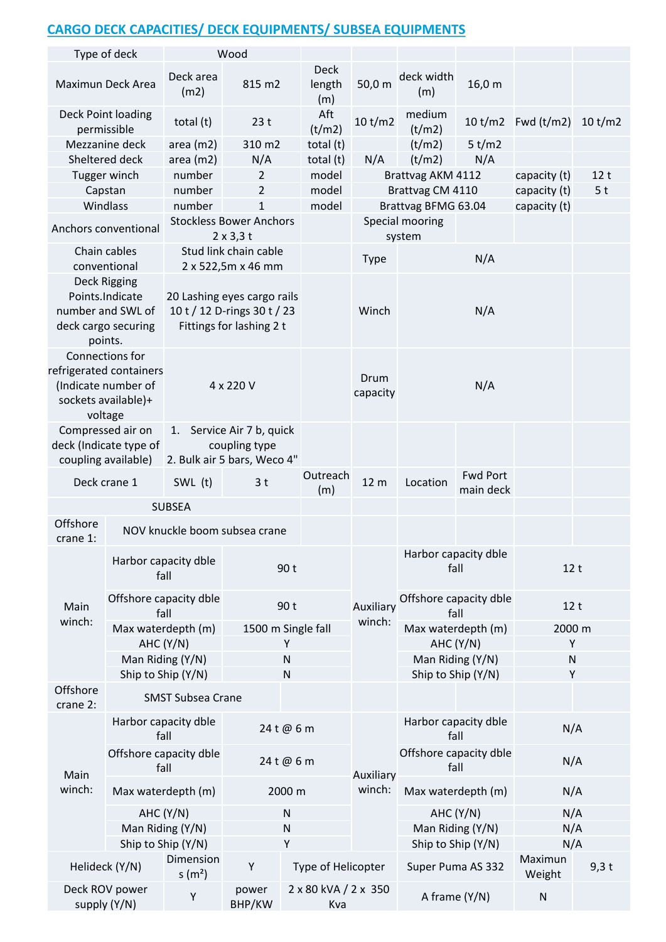## **CARGO DECK CAPACITIES/ DECK EQUIPMENTS/ SUBSEA EQUIPMENTS**

| Type of deck                                                                                        |                                 |                                                                              | Wood                                                                                   |                              |                     |                                |                                 |                      |                 |
|-----------------------------------------------------------------------------------------------------|---------------------------------|------------------------------------------------------------------------------|----------------------------------------------------------------------------------------|------------------------------|---------------------|--------------------------------|---------------------------------|----------------------|-----------------|
| Maximun Deck Area                                                                                   |                                 | Deck area<br>(m2)                                                            | 815 m2                                                                                 | <b>Deck</b><br>length<br>(m) | 50,0 m              | deck width<br>(m)              | 16,0 m                          |                      |                 |
| Deck Point loading<br>permissible                                                                   |                                 | total (t)                                                                    | 23t                                                                                    | Aft<br>(t/m2)                | 10 t/m2             | medium<br>(t/m2)               |                                 | 10 t/m2 $Fwd (t/m2)$ | 10 t/m2         |
|                                                                                                     | Mezzanine deck                  | area $(m2)$                                                                  | 310 m2                                                                                 | total (t)                    |                     | (t/m2)                         | 5 t/m2                          |                      |                 |
| Sheltered deck                                                                                      |                                 | area $(m2)$                                                                  | N/A                                                                                    | total (t)                    | N/A                 | (t/m2)                         | N/A                             |                      |                 |
| Tugger winch                                                                                        |                                 | number                                                                       | $\overline{2}$                                                                         | model                        |                     | Brattvag AKM 4112              |                                 | capacity (t)         | 12 <sub>t</sub> |
| Capstan                                                                                             |                                 | number                                                                       | 2                                                                                      | model                        |                     | Brattvag CM 4110               |                                 | capacity (t)         | 5 <sub>t</sub>  |
| Windlass                                                                                            |                                 | number                                                                       | 1                                                                                      | model                        |                     | Brattvag BFMG 63.04            |                                 | capacity (t)         |                 |
| Anchors conventional                                                                                |                                 |                                                                              | <b>Stockless Bower Anchors</b><br>$2 \times 3,3$ t                                     |                              |                     | Special mooring<br>system      |                                 |                      |                 |
| Chain cables                                                                                        |                                 |                                                                              | Stud link chain cable                                                                  |                              | <b>Type</b>         |                                | N/A                             |                      |                 |
| conventional                                                                                        |                                 |                                                                              | 2 x 522,5m x 46 mm                                                                     |                              |                     |                                |                                 |                      |                 |
| Deck Rigging<br>Points.Indicate<br>number and SWL of<br>deck cargo securing<br>points.              |                                 |                                                                              | 20 Lashing eyes cargo rails<br>10 t / 12 D-rings 30 t / 23<br>Fittings for lashing 2 t |                              | Winch               |                                | N/A                             |                      |                 |
| Connections for<br>refrigerated containers<br>(Indicate number of<br>sockets available)+<br>voltage |                                 | 4 x 220 V                                                                    |                                                                                        |                              | Drum<br>capacity    | N/A                            |                                 |                      |                 |
| Compressed air on<br>coupling available)                                                            | deck (Indicate type of          | Service Air 7 b, quick<br>1.<br>coupling type<br>2. Bulk air 5 bars, Weco 4" |                                                                                        |                              |                     |                                |                                 |                      |                 |
| Deck crane 1                                                                                        |                                 | SWL (t)                                                                      | 3 <sub>t</sub>                                                                         | Outreach                     | 12 <sub>m</sub>     | Location                       | <b>Fwd Port</b>                 |                      |                 |
|                                                                                                     |                                 | <b>SUBSEA</b>                                                                |                                                                                        | (m)                          |                     |                                | main deck                       |                      |                 |
| Offshore<br>crane 1:                                                                                |                                 |                                                                              | NOV knuckle boom subsea crane                                                          |                              |                     |                                |                                 |                      |                 |
|                                                                                                     |                                 | Harbor capacity dble<br>90 t<br>fall                                         |                                                                                        |                              |                     | fall                           | Harbor capacity dble            | 12t                  |                 |
| Main                                                                                                | Offshore capacity dble<br>fall  |                                                                              | 90 t                                                                                   |                              | Auxiliary<br>winch: | Offshore capacity dble<br>fall |                                 | 12t                  |                 |
| winch:                                                                                              | Max waterdepth (m)<br>AHC (Y/N) |                                                                              |                                                                                        | 1500 m Single fall<br>Y      |                     |                                | Max waterdepth (m)<br>AHC (Y/N) | 2000 m<br>Υ          |                 |
|                                                                                                     | Man Riding (Y/N)                |                                                                              | ${\sf N}$                                                                              |                              |                     |                                | Man Riding (Y/N)                | $\mathsf{N}$         |                 |
|                                                                                                     | Ship to Ship (Y/N)              |                                                                              | ${\sf N}$                                                                              |                              |                     |                                | Ship to Ship (Y/N)              | Υ                    |                 |
| Offshore<br>crane 2:                                                                                |                                 | <b>SMST Subsea Crane</b>                                                     |                                                                                        |                              |                     |                                |                                 |                      |                 |
|                                                                                                     | Harbor capacity dble<br>fall    |                                                                              | 24 t @ 6 m                                                                             |                              |                     | Harbor capacity dble<br>fall   |                                 | N/A                  |                 |
| Main                                                                                                | Offshore capacity dble<br>fall  |                                                                              | 24 t @ 6 m                                                                             |                              | Auxiliary           |                                | Offshore capacity dble<br>fall  | N/A                  |                 |
| winch:                                                                                              | Max waterdepth (m)              |                                                                              | 2000 m                                                                                 |                              | winch:              |                                | Max waterdepth (m)              | N/A                  |                 |
|                                                                                                     | AHC (Y/N)                       |                                                                              | ${\sf N}$                                                                              |                              |                     |                                | AHC (Y/N)                       | N/A                  |                 |
|                                                                                                     | Man Riding (Y/N)                |                                                                              | ${\sf N}$                                                                              |                              |                     |                                | Man Riding (Y/N)                | N/A                  |                 |
|                                                                                                     | Ship to Ship (Y/N)              |                                                                              | Υ                                                                                      |                              |                     |                                | Ship to Ship (Y/N)              | N/A                  |                 |
| Helideck (Y/N)                                                                                      |                                 | Dimension<br>s(m <sup>2</sup> )                                              | Υ                                                                                      | Type of Helicopter           |                     |                                | Super Puma AS 332               | Maximun<br>Weight    | $9,3$ t         |
| Deck ROV power<br>supply (Y/N)                                                                      |                                 | Υ                                                                            | power<br>BHP/KW                                                                        | 2 x 80 kVA / 2 x 350<br>Kva  |                     | A frame (Y/N)                  |                                 | ${\sf N}$            |                 |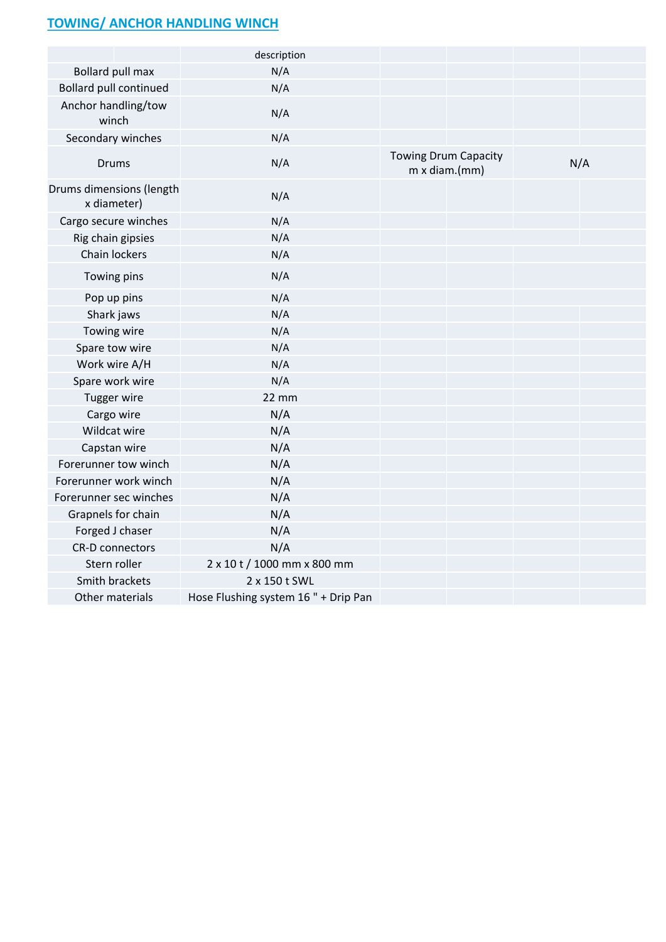## **TOWING/ ANCHOR HANDLING WINCH**

|                                         | description                          |                                                     |     |
|-----------------------------------------|--------------------------------------|-----------------------------------------------------|-----|
| Bollard pull max                        | N/A                                  |                                                     |     |
| <b>Bollard pull continued</b>           | N/A                                  |                                                     |     |
| Anchor handling/tow<br>winch            | N/A                                  |                                                     |     |
| Secondary winches                       | N/A                                  |                                                     |     |
| <b>Drums</b>                            | N/A                                  | <b>Towing Drum Capacity</b><br>$m \times$ diam.(mm) | N/A |
| Drums dimensions (length<br>x diameter) | N/A                                  |                                                     |     |
| Cargo secure winches                    | N/A                                  |                                                     |     |
| Rig chain gipsies                       | N/A                                  |                                                     |     |
| Chain lockers                           | N/A                                  |                                                     |     |
| Towing pins                             | N/A                                  |                                                     |     |
| Pop up pins                             | N/A                                  |                                                     |     |
| Shark jaws                              | N/A                                  |                                                     |     |
| Towing wire                             | N/A                                  |                                                     |     |
| Spare tow wire                          | N/A                                  |                                                     |     |
| Work wire A/H                           | N/A                                  |                                                     |     |
| Spare work wire                         | N/A                                  |                                                     |     |
| Tugger wire                             | 22 mm                                |                                                     |     |
| Cargo wire                              | N/A                                  |                                                     |     |
| Wildcat wire                            | N/A                                  |                                                     |     |
| Capstan wire                            | N/A                                  |                                                     |     |
| Forerunner tow winch                    | N/A                                  |                                                     |     |
| Forerunner work winch                   | N/A                                  |                                                     |     |
| Forerunner sec winches                  | N/A                                  |                                                     |     |
| Grapnels for chain                      | N/A                                  |                                                     |     |
| Forged J chaser                         | N/A                                  |                                                     |     |
| <b>CR-D</b> connectors                  | N/A                                  |                                                     |     |
| Stern roller                            | 2 x 10 t / 1000 mm x 800 mm          |                                                     |     |
| Smith brackets                          | 2 x 150 t SWL                        |                                                     |     |
| Other materials                         | Hose Flushing system 16 " + Drip Pan |                                                     |     |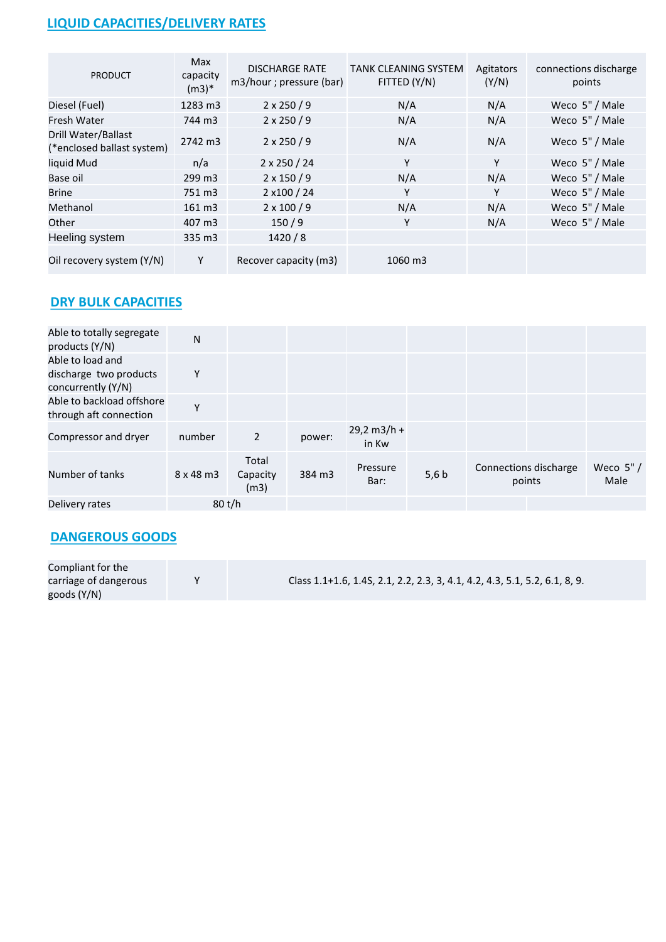## **LIQUID CAPACITIES/DELIVERY RATES**

| <b>PRODUCT</b>                                    | Max<br>capacity<br>$(m3)*$ | <b>DISCHARGE RATE</b><br>m3/hour ; pressure (bar) | <b>TANK CLEANING SYSTEM</b><br>FITTED (Y/N) | Agitators<br>(Y/N) | connections discharge<br>points |
|---------------------------------------------------|----------------------------|---------------------------------------------------|---------------------------------------------|--------------------|---------------------------------|
| Diesel (Fuel)                                     | 1283 m3                    | $2 \times 250 / 9$                                | N/A                                         | N/A                | Weco 5" / Male                  |
| Fresh Water                                       | 744 m3                     | $2 \times 250 / 9$                                | N/A                                         | N/A                | Weco 5" / Male                  |
| Drill Water/Ballast<br>(*enclosed ballast system) | 2742 m3                    | $2 \times 250 / 9$                                | N/A                                         | N/A                | Weco 5" / Male                  |
| liquid Mud                                        | n/a                        | $2 \times 250 / 24$                               | Y                                           | Y                  | Weco 5" / Male                  |
| Base oil                                          | 299 m3                     | $2 \times 150 / 9$                                | N/A                                         | N/A                | Weco 5" / Male                  |
| <b>Brine</b>                                      | 751 m3                     | 2 x100 / 24                                       | Υ                                           | Υ                  | Weco 5" / Male                  |
| Methanol                                          | 161 m3                     | $2 \times 100 / 9$                                | N/A                                         | N/A                | Weco 5" / Male                  |
| Other                                             | 407 m3                     | 150/9                                             | Y                                           | N/A                | Weco 5" / Male                  |
| Heeling system                                    | 335 m3                     | 1420/8                                            |                                             |                    |                                 |
| Oil recovery system (Y/N)                         | Y                          | Recover capacity (m3)                             | 1060 m3                                     |                    |                                 |

## **DRY BULK CAPACITIES**

| Able to totally segregate<br>products (Y/N)                      | N                |                           |        |                        |       |                                 |                     |
|------------------------------------------------------------------|------------------|---------------------------|--------|------------------------|-------|---------------------------------|---------------------|
| Able to load and<br>discharge two products<br>concurrently (Y/N) | Υ                |                           |        |                        |       |                                 |                     |
| Able to backload offshore<br>through aft connection              | Υ                |                           |        |                        |       |                                 |                     |
| Compressor and dryer                                             | number           | $\overline{2}$            | power: | $29,2 m3/h +$<br>in Kw |       |                                 |                     |
| Number of tanks                                                  | $8 \times 48$ m3 | Total<br>Capacity<br>(m3) | 384 m3 | Pressure<br>Bar:       | 5,6 b | Connections discharge<br>points | Weco $5" /$<br>Male |
| Delivery rates                                                   |                  | 80 t/h                    |        |                        |       |                                 |                     |

## **DANGEROUS GOODS**

| Compliant for the     |                                                                            |
|-----------------------|----------------------------------------------------------------------------|
| carriage of dangerous | Class 1.1+1.6, 1.4S, 2.1, 2.2, 2.3, 3, 4.1, 4.2, 4.3, 5.1, 5.2, 6.1, 8, 9. |
| goods (Y/N)           |                                                                            |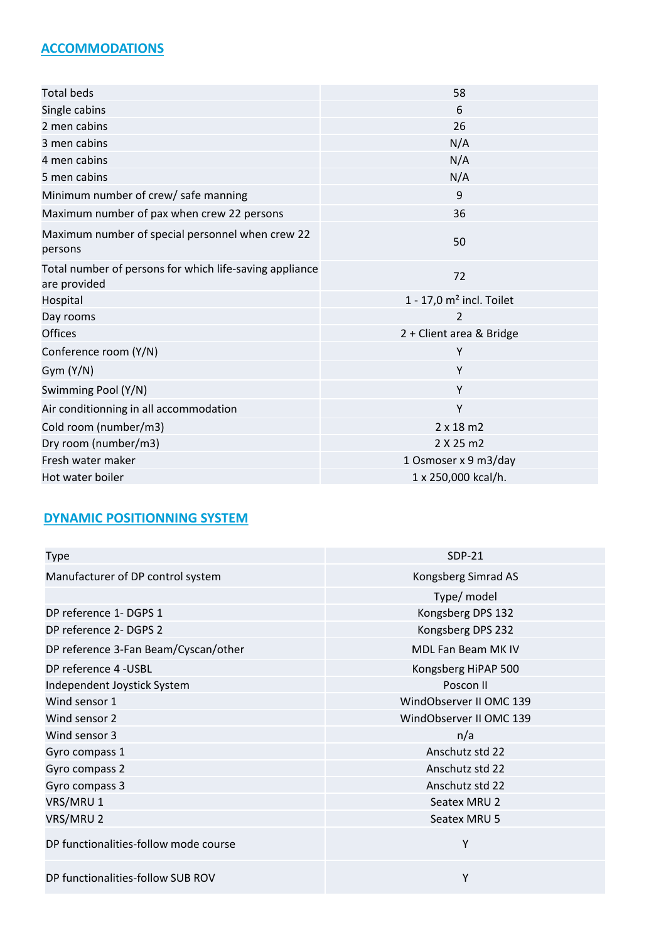### **ACCOMMODATIONS**

| <b>Total beds</b>                                                       | 58                                     |
|-------------------------------------------------------------------------|----------------------------------------|
|                                                                         |                                        |
| Single cabins                                                           | 6                                      |
| 2 men cabins                                                            | 26                                     |
| 3 men cabins                                                            | N/A                                    |
| 4 men cabins                                                            | N/A                                    |
| 5 men cabins                                                            | N/A                                    |
| Minimum number of crew/ safe manning                                    | 9                                      |
| Maximum number of pax when crew 22 persons                              | 36                                     |
| Maximum number of special personnel when crew 22<br>persons             | 50                                     |
| Total number of persons for which life-saving appliance<br>are provided | 72                                     |
| Hospital                                                                | $1 - 17,0$ m <sup>2</sup> incl. Toilet |
| Day rooms                                                               | 2                                      |
| <b>Offices</b>                                                          | 2 + Client area & Bridge               |
| Conference room (Y/N)                                                   | Y                                      |
| Gym (Y/N)                                                               | Y                                      |
| Swimming Pool (Y/N)                                                     | Y                                      |
| Air conditionning in all accommodation                                  | Y                                      |
| Cold room (number/m3)                                                   | $2 \times 18$ m2                       |
| Dry room (number/m3)                                                    | 2 X 25 m2                              |
| Fresh water maker                                                       | 1 Osmoser x 9 m3/day                   |
| Hot water boiler                                                        | 1 x 250,000 kcal/h.                    |

## **DYNAMIC POSITIONNING SYSTEM**

| Type                                  | $SDP-21$                |
|---------------------------------------|-------------------------|
| Manufacturer of DP control system     | Kongsberg Simrad AS     |
|                                       | Type/ model             |
| DP reference 1- DGPS 1                | Kongsberg DPS 132       |
| DP reference 2- DGPS 2                | Kongsberg DPS 232       |
| DP reference 3-Fan Beam/Cyscan/other  | MDL Fan Beam MK IV      |
| DP reference 4 - USBL                 | Kongsberg HiPAP 500     |
| Independent Joystick System           | Poscon II               |
| Wind sensor 1                         | WindObserver II OMC 139 |
| Wind sensor 2                         | WindObserver II OMC 139 |
| Wind sensor 3                         | n/a                     |
| Gyro compass 1                        | Anschutz std 22         |
| Gyro compass 2                        | Anschutz std 22         |
| Gyro compass 3                        | Anschutz std 22         |
| VRS/MRU 1                             | Seatex MRU 2            |
| VRS/MRU 2                             | Seatex MRU 5            |
| DP functionalities-follow mode course | Υ                       |
| DP functionalities-follow SUB ROV     | Υ                       |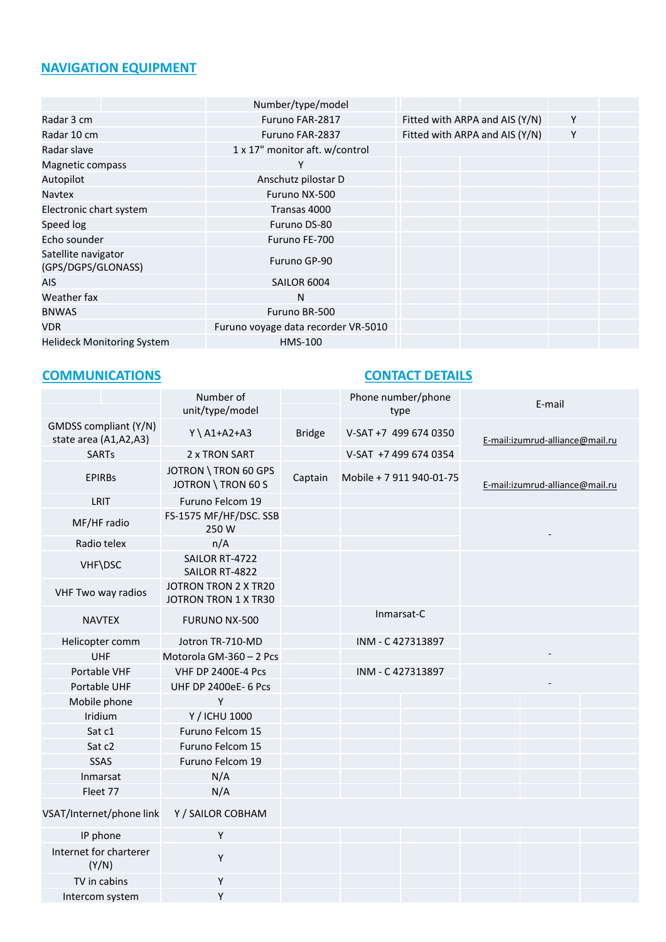## **NAVIGATION EQUIPMENT**

|                                           | Number/type/model                   |                                |   |  |
|-------------------------------------------|-------------------------------------|--------------------------------|---|--|
| Radar 3 cm                                | Furuno FAR-2817                     | Fitted with ARPA and AIS (Y/N) | Y |  |
| Radar 10 cm                               | Furuno FAR-2837                     | Fitted with ARPA and AIS (Y/N) | Υ |  |
| Radar slave                               | 1 x 17" monitor aft. w/control      |                                |   |  |
| Magnetic compass                          | Υ                                   |                                |   |  |
| Autopilot                                 | Anschutz pilostar D                 |                                |   |  |
| <b>Navtex</b>                             | Furuno NX-500                       |                                |   |  |
| Electronic chart system                   | Transas 4000                        |                                |   |  |
| Speed log                                 | Furuno DS-80                        |                                |   |  |
| Echo sounder                              | Furuno FE-700                       |                                |   |  |
| Satellite navigator<br>(GPS/DGPS/GLONASS) | Furuno GP-90                        |                                |   |  |
| AIS                                       | SAILOR 6004                         |                                |   |  |
| Weather fax                               | N                                   |                                |   |  |
| <b>BNWAS</b>                              | Furuno BR-500                       |                                |   |  |
| <b>VDR</b>                                | Furuno voyage data recorder VR-5010 |                                |   |  |
| <b>Helideck Monitoring System</b>         | <b>HMS-100</b>                      |                                |   |  |
|                                           |                                     |                                |   |  |

## **COMMUNICATIONS CONTACT DETAILS**

|                                                | Number of                                    |                   | Phone number/phone       |                                 |  |  |
|------------------------------------------------|----------------------------------------------|-------------------|--------------------------|---------------------------------|--|--|
|                                                | unit/type/model                              |                   | type                     | E-mail                          |  |  |
| GMDSS compliant (Y/N)<br>state area (A1,A2,A3) | $Y \setminus A1+A2+A3$                       | <b>Bridge</b>     | V-SAT +7 499 674 0350    | E-mail:izumrud-alliance@mail.ru |  |  |
| <b>SARTs</b>                                   | 2 x TRON SART                                |                   | V-SAT +7 499 674 0354    |                                 |  |  |
| <b>EPIRBs</b>                                  | JOTRON \ TRON 60 GPS<br>JOTRON \ TRON 60 S   | Captain           | Mobile + 7 911 940-01-75 | E-mail:izumrud-alliance@mail.ru |  |  |
| LRIT                                           | Furuno Felcom 19                             |                   |                          |                                 |  |  |
| MF/HF radio                                    | FS-1575 MF/HF/DSC. SSB<br>250 W              |                   |                          |                                 |  |  |
| Radio telex                                    | n/A                                          |                   |                          |                                 |  |  |
| VHF\DSC                                        | SAILOR RT-4722<br>SAILOR RT-4822             |                   |                          |                                 |  |  |
| VHF Two way radios                             | JOTRON TRON 2 X TR20<br>JOTRON TRON 1 X TR30 |                   |                          |                                 |  |  |
| <b>NAVTEX</b>                                  | FURUNO NX-500                                |                   | Inmarsat-C               |                                 |  |  |
| Helicopter comm                                | Jotron TR-710-MD                             | INM - C 427313897 |                          |                                 |  |  |
| UHF                                            | Motorola GM-360 - 2 Pcs                      |                   |                          |                                 |  |  |
| Portable VHF                                   | <b>VHF DP 2400E-4 Pcs</b>                    | INM - C 427313897 |                          |                                 |  |  |
| Portable UHF                                   | <b>UHF DP 2400eE- 6 Pcs</b>                  |                   |                          |                                 |  |  |
| Mobile phone                                   | Y                                            |                   |                          |                                 |  |  |
| Iridium                                        | Y / ICHU 1000                                |                   |                          |                                 |  |  |
| Sat c1                                         | Furuno Felcom 15                             |                   |                          |                                 |  |  |
| Sat c2                                         | Furuno Felcom 15                             |                   |                          |                                 |  |  |
| SSAS                                           | Furuno Felcom 19                             |                   |                          |                                 |  |  |
| Inmarsat                                       | N/A                                          |                   |                          |                                 |  |  |
| Fleet 77                                       | N/A                                          |                   |                          |                                 |  |  |
| VSAT/Internet/phone link                       | Y / SAILOR COBHAM                            |                   |                          |                                 |  |  |
| IP phone                                       | Y                                            |                   |                          |                                 |  |  |
| Internet for charterer<br>(Y/N)                | Υ                                            |                   |                          |                                 |  |  |
| TV in cabins                                   | Υ                                            |                   |                          |                                 |  |  |
| Intercom system                                | Υ                                            |                   |                          |                                 |  |  |